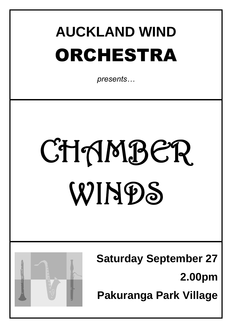# **AUCKLAND WIND**  ORCHESTRA

*presents…*

# CHAMBER WINDS



**Saturday September 27 2.00pm Pakuranga Park Village**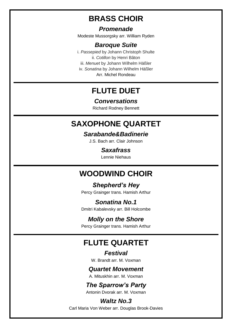# **BRASS CHOIR**

#### *Promenade*

Modeste Mussorgsky arr. William Ryden

#### *Baroque Suite*

i. *Passepied* by Johann Christoph Shulte ii. *Cotillon* by Henri Bâton iii. *Menuet* by Johann Wilhelm Häßler iv. *Sonatina* by Johann Wilhelm Häßler Arr. Michel Rondeau

# **FLUTE DUET**

#### *Conversations*

Richard Rodney Bennett

#### **SAXOPHONE QUARTET**

#### *Sarabande&Badinerie*

J.S. Bach arr. Clair Johnson

#### *Saxafrass*

Lennie Niehaus

#### **WOODWIND CHOIR**

#### *Shepherd's Hey*

Percy Grainger trans. Hamish Arthur

#### *Sonatina No.1*

Dmitri Kabalevsky arr. Bill Holcombe

#### *Molly on the Shore*

Percy Grainger trans. Hamish Arthur

# **FLUTE QUARTET**

*Festival* W. Brandt arr. M. Voxman

#### *Quartet Movement*

A. Mituskhin arr. M. Voxman

#### *The Sparrow's Party*

Antonin Dvorak arr. M. Voxman

#### *Waltz No.3*

Carl Maria Von Weber arr. Douglas Brook-Davies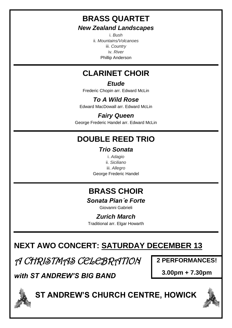# **BRASS QUARTET**

#### *New Zealand Landscapes*

i. *Bush* ii. *Mountains/Volcanoes* iii. *Country* iv. *River* Phillip Anderson

# **CLARINET CHOIR**

#### *Etude*

Frederic Chopin arr. Edward McLin

### *To A Wild Rose*

Edward MacDowall arr. Edward McLin

#### *Fairy Queen*

George Frederic Handel arr. Edward McLin

# **DOUBLE REED TRIO**

#### *Trio Sonata*

i. *Adagio* ii. *Siciliano* iii. *Allegro* George Frederic Handel

# **BRASS CHOIR**

#### *Sonata Pianˊe Forte*

Giovanni Gabrieli

#### *Zurich March*

Traditional arr. Elgar Howarth

# **NEXT AWO CONCERT: SATURDAY DECEMBER 13**

A CHRISTMAS CELEBRATION

**2 PERFORMANCES!**

*with ST ANDREW'S BIG BAND* 

**3.00pm + 7.30pm**



# **ST ANDREW'S CHURCH CENTRE, HOWICK**